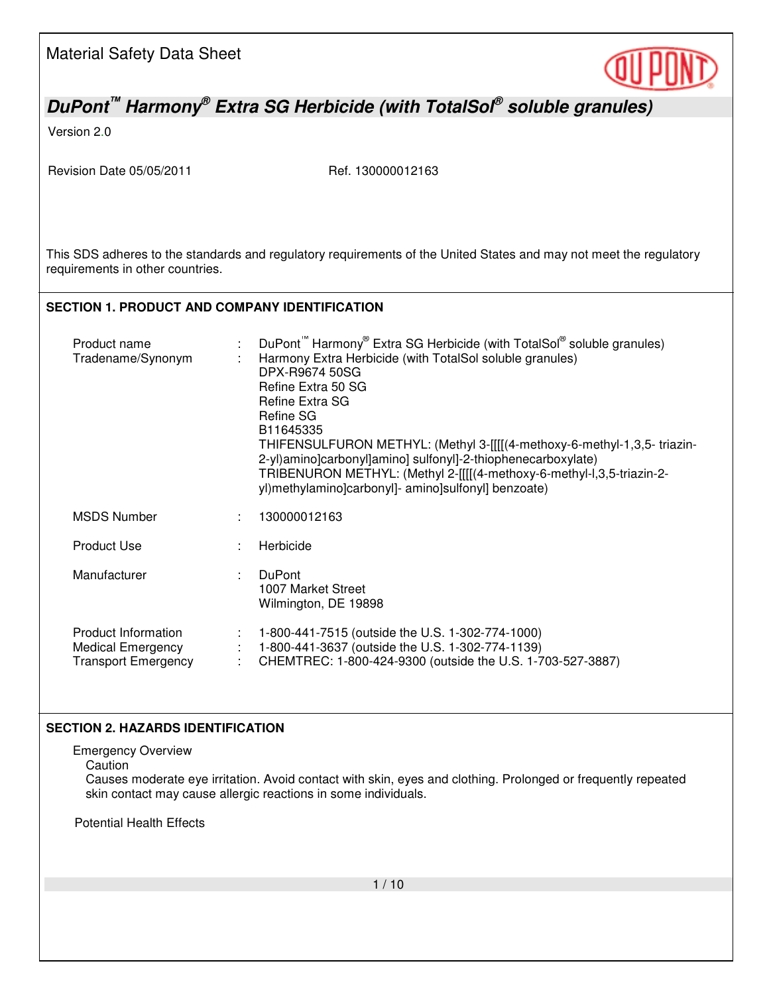

# *DuPont™ Harmony® Extra SG Herbicide (with TotalSol® soluble granules)*

Version 2.0

Revision Date 05/05/2011 Ref. 130000012163

This SDS adheres to the standards and regulatory requirements of the United States and may not meet the regulatory requirements in other countries.

## **SECTION 1. PRODUCT AND COMPANY IDENTIFICATION**

| Product name<br>Tradename/Synonym                                             | DuPont Harmony <sup>®</sup> Extra SG Herbicide (with TotalSol <sup>®</sup> soluble granules)<br>Harmony Extra Herbicide (with TotalSol soluble granules)<br>DPX-R9674 50SG<br>Refine Extra 50 SG<br>Refine Extra SG<br>Refine SG<br>B11645335<br>THIFENSULFURON METHYL: (Methyl 3-[[[[(4-methoxy-6-methyl-1,3,5- triazin-<br>2-yl)amino]carbonyl]amino] sulfonyl]-2-thiophenecarboxylate)<br>TRIBENURON METHYL: (Methyl 2-[[[[(4-methoxy-6-methyl-l,3,5-triazin-2-<br>yl)methylamino]carbonyl]- amino]sulfonyl] benzoate) |
|-------------------------------------------------------------------------------|---------------------------------------------------------------------------------------------------------------------------------------------------------------------------------------------------------------------------------------------------------------------------------------------------------------------------------------------------------------------------------------------------------------------------------------------------------------------------------------------------------------------------|
| <b>MSDS Number</b>                                                            | 130000012163                                                                                                                                                                                                                                                                                                                                                                                                                                                                                                              |
| <b>Product Use</b>                                                            | Herbicide                                                                                                                                                                                                                                                                                                                                                                                                                                                                                                                 |
| Manufacturer                                                                  | <b>DuPont</b><br>1007 Market Street<br>Wilmington, DE 19898                                                                                                                                                                                                                                                                                                                                                                                                                                                               |
| Product Information<br><b>Medical Emergency</b><br><b>Transport Emergency</b> | 1-800-441-7515 (outside the U.S. 1-302-774-1000)<br>1-800-441-3637 (outside the U.S. 1-302-774-1139)<br>CHEMTREC: 1-800-424-9300 (outside the U.S. 1-703-527-3887)                                                                                                                                                                                                                                                                                                                                                        |

### **SECTION 2. HAZARDS IDENTIFICATION**

Emergency Overview

**Caution** 

Causes moderate eye irritation. Avoid contact with skin, eyes and clothing. Prolonged or frequently repeated skin contact may cause allergic reactions in some individuals.

Potential Health Effects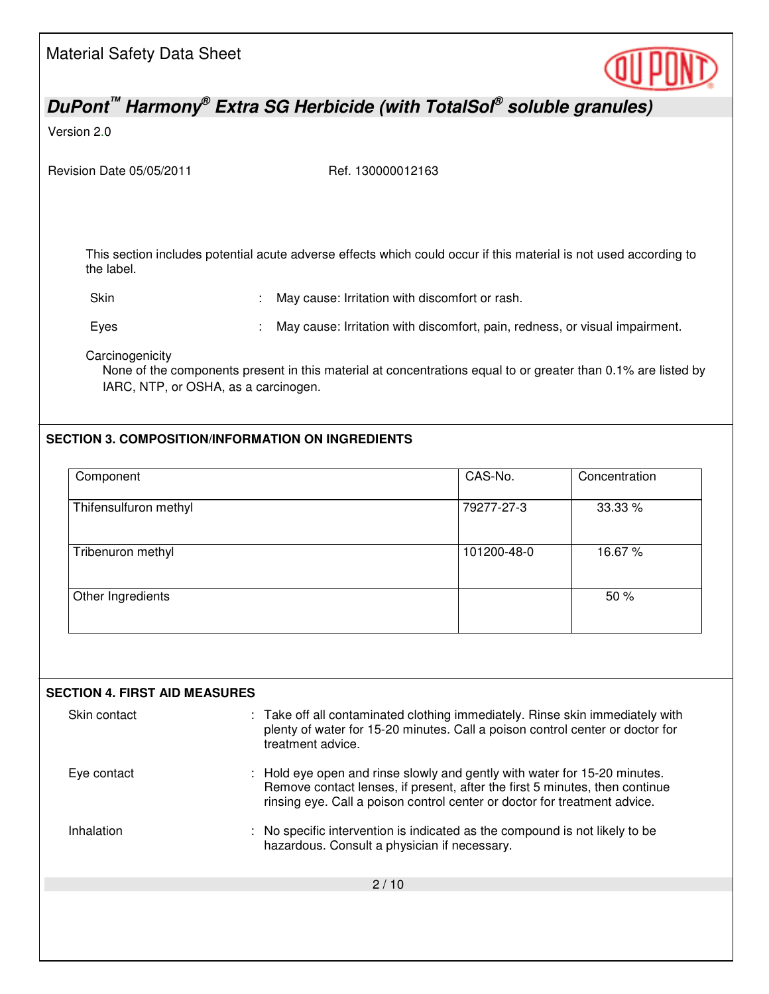| <b>Material Safety Data Sheet</b>                       |                                                          |                                                                                                                                                                                                                                     |               |
|---------------------------------------------------------|----------------------------------------------------------|-------------------------------------------------------------------------------------------------------------------------------------------------------------------------------------------------------------------------------------|---------------|
|                                                         |                                                          | DuPont <sup>™</sup> Harmony <sup>®</sup> Extra SG Herbicide (with TotalSol <sup>®</sup> soluble granules)                                                                                                                           |               |
| Version 2.0                                             |                                                          |                                                                                                                                                                                                                                     |               |
| Revision Date 05/05/2011                                |                                                          | Ref. 130000012163                                                                                                                                                                                                                   |               |
| the label.                                              |                                                          | This section includes potential acute adverse effects which could occur if this material is not used according to                                                                                                                   |               |
| Skin                                                    |                                                          | May cause: Irritation with discomfort or rash.                                                                                                                                                                                      |               |
| Eyes                                                    |                                                          | May cause: Irritation with discomfort, pain, redness, or visual impairment.                                                                                                                                                         |               |
| Carcinogenicity<br>IARC, NTP, or OSHA, as a carcinogen. | <b>SECTION 3. COMPOSITION/INFORMATION ON INGREDIENTS</b> | None of the components present in this material at concentrations equal to or greater than 0.1% are listed by                                                                                                                       |               |
| Component                                               |                                                          | CAS-No.                                                                                                                                                                                                                             | Concentration |
|                                                         |                                                          |                                                                                                                                                                                                                                     |               |
| Thifensulfuron methyl                                   |                                                          | 79277-27-3                                                                                                                                                                                                                          | 33.33 %       |
| Tribenuron methyl                                       |                                                          | 101200-48-0                                                                                                                                                                                                                         | 16.67%        |
| Other Ingredients                                       |                                                          |                                                                                                                                                                                                                                     | 50 %          |
| <b>SECTION 4. FIRST AID MEASURES</b>                    |                                                          |                                                                                                                                                                                                                                     |               |
| Skin contact                                            | treatment advice.                                        | : Take off all contaminated clothing immediately. Rinse skin immediately with<br>plenty of water for 15-20 minutes. Call a poison control center or doctor for                                                                      |               |
| Eye contact                                             |                                                          | Hold eye open and rinse slowly and gently with water for 15-20 minutes.<br>Remove contact lenses, if present, after the first 5 minutes, then continue<br>rinsing eye. Call a poison control center or doctor for treatment advice. |               |
| Inhalation                                              |                                                          | No specific intervention is indicated as the compound is not likely to be<br>hazardous. Consult a physician if necessary.                                                                                                           |               |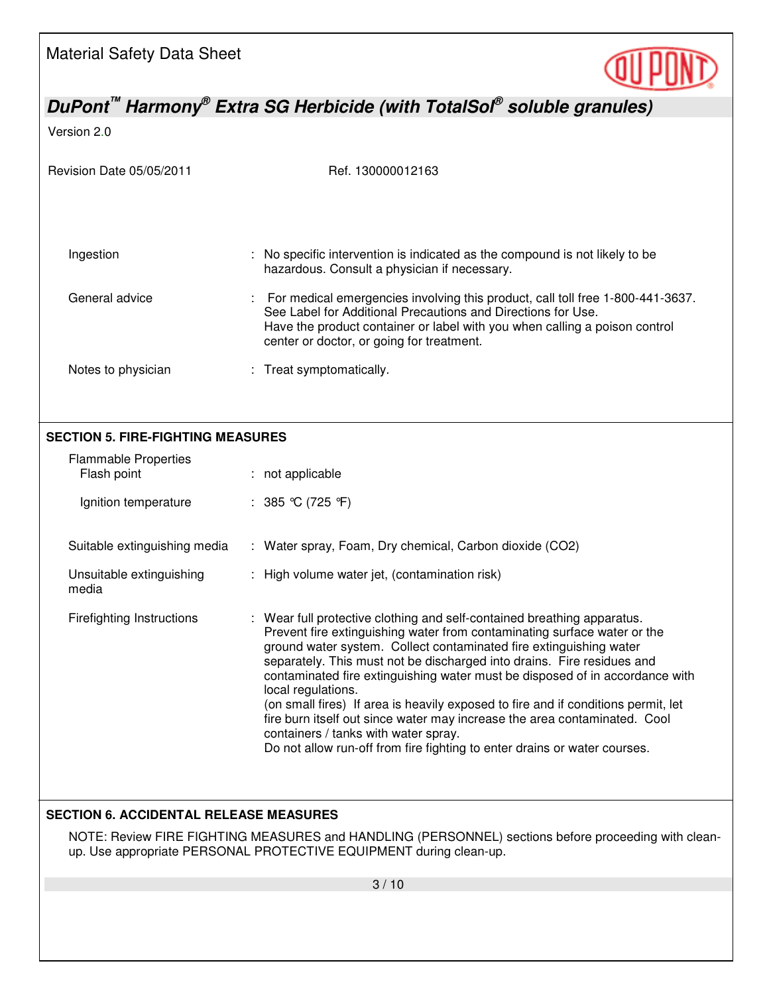

*DuPont™ Harmony® Extra SG Herbicide (with TotalSol® soluble granules)* 

Version 2.0

| Revision Date 05/05/2011                                                                                                                                                  | Ref. 130000012163                                                                                                                                                                                                                                                                                                                                                                                                                                                                                                                                                                                                                                                                                |  |  |  |  |
|---------------------------------------------------------------------------------------------------------------------------------------------------------------------------|--------------------------------------------------------------------------------------------------------------------------------------------------------------------------------------------------------------------------------------------------------------------------------------------------------------------------------------------------------------------------------------------------------------------------------------------------------------------------------------------------------------------------------------------------------------------------------------------------------------------------------------------------------------------------------------------------|--|--|--|--|
|                                                                                                                                                                           |                                                                                                                                                                                                                                                                                                                                                                                                                                                                                                                                                                                                                                                                                                  |  |  |  |  |
| Ingestion                                                                                                                                                                 | : No specific intervention is indicated as the compound is not likely to be<br>hazardous. Consult a physician if necessary.                                                                                                                                                                                                                                                                                                                                                                                                                                                                                                                                                                      |  |  |  |  |
| General advice                                                                                                                                                            | : For medical emergencies involving this product, call toll free 1-800-441-3637.<br>See Label for Additional Precautions and Directions for Use.<br>Have the product container or label with you when calling a poison control<br>center or doctor, or going for treatment.                                                                                                                                                                                                                                                                                                                                                                                                                      |  |  |  |  |
| Notes to physician                                                                                                                                                        | : Treat symptomatically.                                                                                                                                                                                                                                                                                                                                                                                                                                                                                                                                                                                                                                                                         |  |  |  |  |
|                                                                                                                                                                           |                                                                                                                                                                                                                                                                                                                                                                                                                                                                                                                                                                                                                                                                                                  |  |  |  |  |
| <b>SECTION 5. FIRE-FIGHTING MEASURES</b>                                                                                                                                  |                                                                                                                                                                                                                                                                                                                                                                                                                                                                                                                                                                                                                                                                                                  |  |  |  |  |
| <b>Flammable Properties</b><br>Flash point                                                                                                                                | : not applicable                                                                                                                                                                                                                                                                                                                                                                                                                                                                                                                                                                                                                                                                                 |  |  |  |  |
| Ignition temperature                                                                                                                                                      | : $385 \text{ °C}$ (725 °F)                                                                                                                                                                                                                                                                                                                                                                                                                                                                                                                                                                                                                                                                      |  |  |  |  |
| Suitable extinguishing media                                                                                                                                              | : Water spray, Foam, Dry chemical, Carbon dioxide (CO2)                                                                                                                                                                                                                                                                                                                                                                                                                                                                                                                                                                                                                                          |  |  |  |  |
| Unsuitable extinguishing<br>media                                                                                                                                         | : High volume water jet, (contamination risk)                                                                                                                                                                                                                                                                                                                                                                                                                                                                                                                                                                                                                                                    |  |  |  |  |
| <b>Firefighting Instructions</b>                                                                                                                                          | : Wear full protective clothing and self-contained breathing apparatus.<br>Prevent fire extinguishing water from contaminating surface water or the<br>ground water system. Collect contaminated fire extinguishing water<br>separately. This must not be discharged into drains. Fire residues and<br>contaminated fire extinguishing water must be disposed of in accordance with<br>local regulations.<br>(on small fires) If area is heavily exposed to fire and if conditions permit, let<br>fire burn itself out since water may increase the area contaminated. Cool<br>containers / tanks with water spray.<br>Do not allow run-off from fire fighting to enter drains or water courses. |  |  |  |  |
| <b>SECTION 6. ACCIDENTAL RELEASE MEASURES</b>                                                                                                                             |                                                                                                                                                                                                                                                                                                                                                                                                                                                                                                                                                                                                                                                                                                  |  |  |  |  |
| NOTE: Review FIRE FIGHTING MEASURES and HANDLING (PERSONNEL) sections before proceeding with clean-<br>up. Use appropriate PERSONAL PROTECTIVE EQUIPMENT during clean-up. |                                                                                                                                                                                                                                                                                                                                                                                                                                                                                                                                                                                                                                                                                                  |  |  |  |  |
|                                                                                                                                                                           |                                                                                                                                                                                                                                                                                                                                                                                                                                                                                                                                                                                                                                                                                                  |  |  |  |  |
|                                                                                                                                                                           | 3/10                                                                                                                                                                                                                                                                                                                                                                                                                                                                                                                                                                                                                                                                                             |  |  |  |  |
|                                                                                                                                                                           |                                                                                                                                                                                                                                                                                                                                                                                                                                                                                                                                                                                                                                                                                                  |  |  |  |  |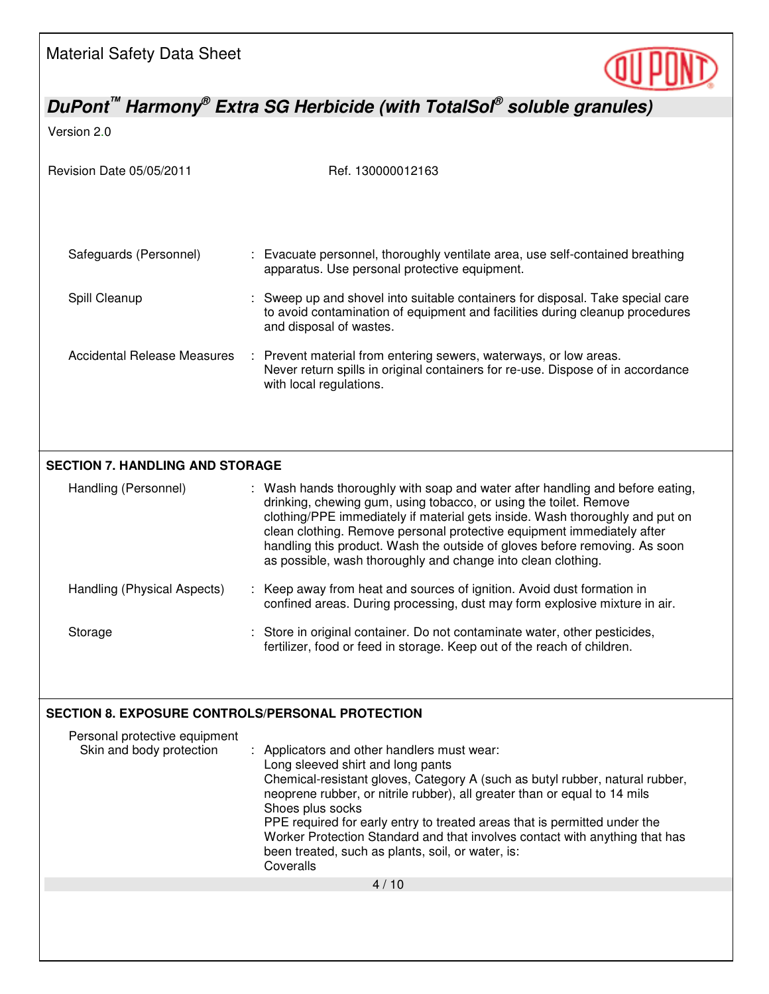

*DuPont™ Harmony® Extra SG Herbicide (with TotalSol® soluble granules)* 

Version 2.0

| Revision Date 05/05/2011                                  | Ref. 130000012163                                                                                                                                                                                                                                                                                                                                                                                                                                                                             |  |  |  |
|-----------------------------------------------------------|-----------------------------------------------------------------------------------------------------------------------------------------------------------------------------------------------------------------------------------------------------------------------------------------------------------------------------------------------------------------------------------------------------------------------------------------------------------------------------------------------|--|--|--|
| Safeguards (Personnel)                                    | : Evacuate personnel, thoroughly ventilate area, use self-contained breathing<br>apparatus. Use personal protective equipment.                                                                                                                                                                                                                                                                                                                                                                |  |  |  |
| Spill Cleanup                                             | Sweep up and shovel into suitable containers for disposal. Take special care<br>to avoid contamination of equipment and facilities during cleanup procedures<br>and disposal of wastes.                                                                                                                                                                                                                                                                                                       |  |  |  |
| <b>Accidental Release Measures</b>                        | Prevent material from entering sewers, waterways, or low areas.<br>Never return spills in original containers for re-use. Dispose of in accordance<br>with local regulations.                                                                                                                                                                                                                                                                                                                 |  |  |  |
| <b>SECTION 7. HANDLING AND STORAGE</b>                    |                                                                                                                                                                                                                                                                                                                                                                                                                                                                                               |  |  |  |
| Handling (Personnel)                                      | : Wash hands thoroughly with soap and water after handling and before eating,<br>drinking, chewing gum, using tobacco, or using the toilet. Remove<br>clothing/PPE immediately if material gets inside. Wash thoroughly and put on<br>clean clothing. Remove personal protective equipment immediately after<br>handling this product. Wash the outside of gloves before removing. As soon<br>as possible, wash thoroughly and change into clean clothing.                                    |  |  |  |
| Handling (Physical Aspects)                               | Keep away from heat and sources of ignition. Avoid dust formation in<br>confined areas. During processing, dust may form explosive mixture in air.                                                                                                                                                                                                                                                                                                                                            |  |  |  |
| Storage                                                   | : Store in original container. Do not contaminate water, other pesticides,<br>fertilizer, food or feed in storage. Keep out of the reach of children.                                                                                                                                                                                                                                                                                                                                         |  |  |  |
|                                                           |                                                                                                                                                                                                                                                                                                                                                                                                                                                                                               |  |  |  |
| <b>SECTION 8. EXPOSURE CONTROLS/PERSONAL PROTECTION</b>   |                                                                                                                                                                                                                                                                                                                                                                                                                                                                                               |  |  |  |
| Personal protective equipment<br>Skin and body protection | Applicators and other handlers must wear:<br>Long sleeved shirt and long pants<br>Chemical-resistant gloves, Category A (such as butyl rubber, natural rubber,<br>neoprene rubber, or nitrile rubber), all greater than or equal to 14 mils<br>Shoes plus socks<br>PPE required for early entry to treated areas that is permitted under the<br>Worker Protection Standard and that involves contact with anything that has<br>been treated, such as plants, soil, or water, is:<br>Coveralls |  |  |  |
|                                                           | 4/10                                                                                                                                                                                                                                                                                                                                                                                                                                                                                          |  |  |  |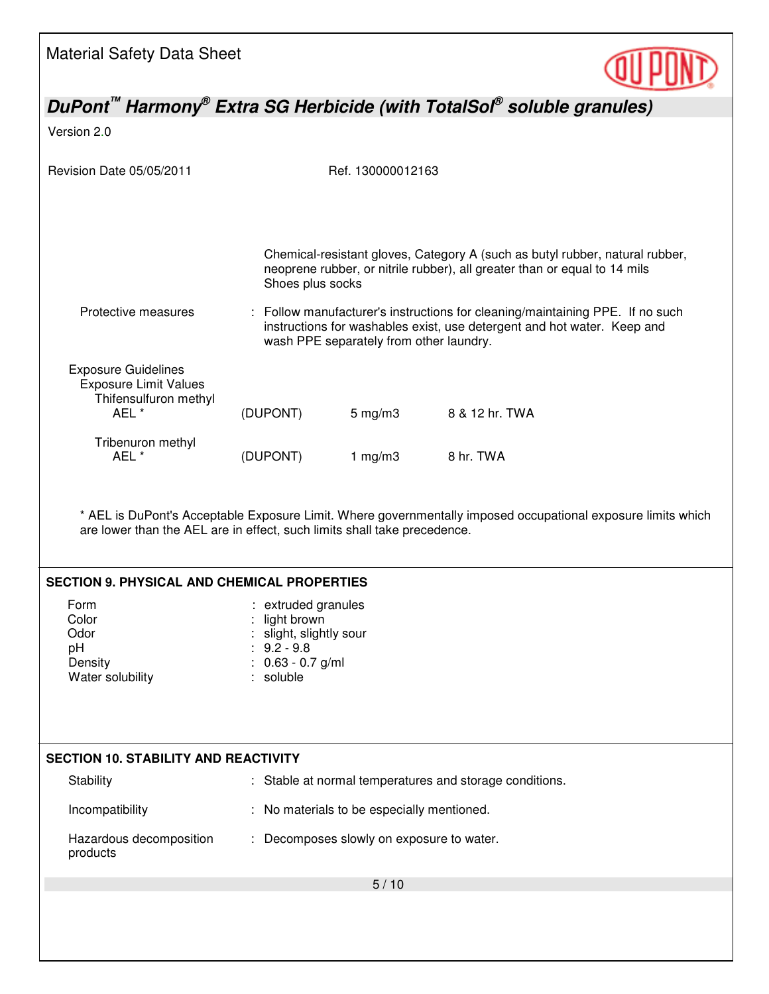

*DuPont™ Harmony® Extra SG Herbicide (with TotalSol® soluble granules)*  Version 2.0 Revision Date 05/05/2011 Ref. 130000012163 5 / 10 Chemical-resistant gloves, Category A (such as butyl rubber, natural rubber, neoprene rubber, or nitrile rubber), all greater than or equal to 14 mils Shoes plus socks Protective measures : Follow manufacturer's instructions for cleaning/maintaining PPE. If no such instructions for washables exist, use detergent and hot water. Keep and wash PPE separately from other laundry. Exposure Guidelines Exposure Limit Values Thifensulfuron methyl<br>AEL \* (DUPONT) 5 mg/m3 8 & 12 hr. TWA Tribenuron methyl AEL \* (DUPONT) 1 mg/m3 8 hr. TWA \* AEL is DuPont's Acceptable Exposure Limit. Where governmentally imposed occupational exposure limits which are lower than the AEL are in effect, such limits shall take precedence. **SECTION 9. PHYSICAL AND CHEMICAL PROPERTIES**  Form : extruded granules Color : light brown Odor : slight, slightly sour pH : 9.2 - 9.8<br>Density : 0.63 - 0.  $\therefore$  0.63 - 0.7 g/ml Water solubility **Water solubility : soluble SECTION 10. STABILITY AND REACTIVITY**  Stability **Stable at normal temperatures and storage conditions.** Incompatibility : No materials to be especially mentioned. Hazardous decomposition products : Decomposes slowly on exposure to water.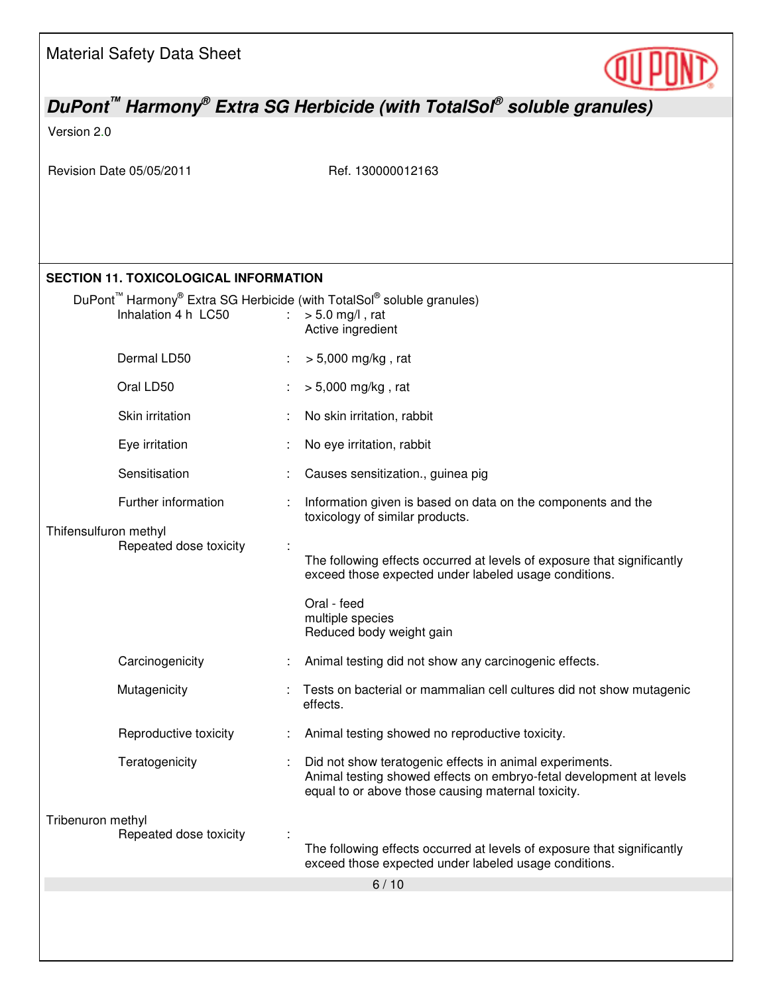

# *DuPont™ Harmony® Extra SG Herbicide (with TotalSol® soluble granules)*

### Version 2.0

Revision Date 05/05/2011 Ref. 130000012163

## **SECTION 11. TOXICOLOGICAL INFORMATION**

|                                                                             | Inhalation 4 h LC50    | $\mathbb{R}^{\mathbb{Z}}$ | DuPont <sup>™</sup> Harmony <sup>®</sup> Extra SG Herbicide (with TotalSol <sup>®</sup> soluble granules)<br>$> 5.0$ mg/l, rat<br>Active ingredient                                  |
|-----------------------------------------------------------------------------|------------------------|---------------------------|--------------------------------------------------------------------------------------------------------------------------------------------------------------------------------------|
|                                                                             | Dermal LD50            |                           | $> 5,000$ mg/kg, rat                                                                                                                                                                 |
|                                                                             | Oral LD50              |                           | $> 5,000$ mg/kg, rat                                                                                                                                                                 |
|                                                                             | Skin irritation        |                           | No skin irritation, rabbit                                                                                                                                                           |
|                                                                             | Eye irritation         |                           | No eye irritation, rabbit                                                                                                                                                            |
|                                                                             | Sensitisation          |                           | Causes sensitization., guinea pig                                                                                                                                                    |
|                                                                             | Further information    |                           | Information given is based on data on the components and the<br>toxicology of similar products.                                                                                      |
| Thifensulfuron methyl                                                       |                        |                           |                                                                                                                                                                                      |
| Repeated dose toxicity<br>Carcinogenicity<br>Mutagenicity<br>Teratogenicity |                        |                           | The following effects occurred at levels of exposure that significantly<br>exceed those expected under labeled usage conditions.                                                     |
|                                                                             |                        |                           | Oral - feed<br>multiple species<br>Reduced body weight gain                                                                                                                          |
|                                                                             |                        |                           | Animal testing did not show any carcinogenic effects.                                                                                                                                |
|                                                                             |                        |                           | Tests on bacterial or mammalian cell cultures did not show mutagenic<br>effects.                                                                                                     |
|                                                                             | Reproductive toxicity  |                           | Animal testing showed no reproductive toxicity.                                                                                                                                      |
|                                                                             |                        |                           | Did not show teratogenic effects in animal experiments.<br>Animal testing showed effects on embryo-fetal development at levels<br>equal to or above those causing maternal toxicity. |
| Tribenuron methyl                                                           | Repeated dose toxicity |                           | The following effects occurred at levels of exposure that significantly<br>exceed those expected under labeled usage conditions.                                                     |
|                                                                             |                        |                           | 6/10                                                                                                                                                                                 |
|                                                                             |                        |                           |                                                                                                                                                                                      |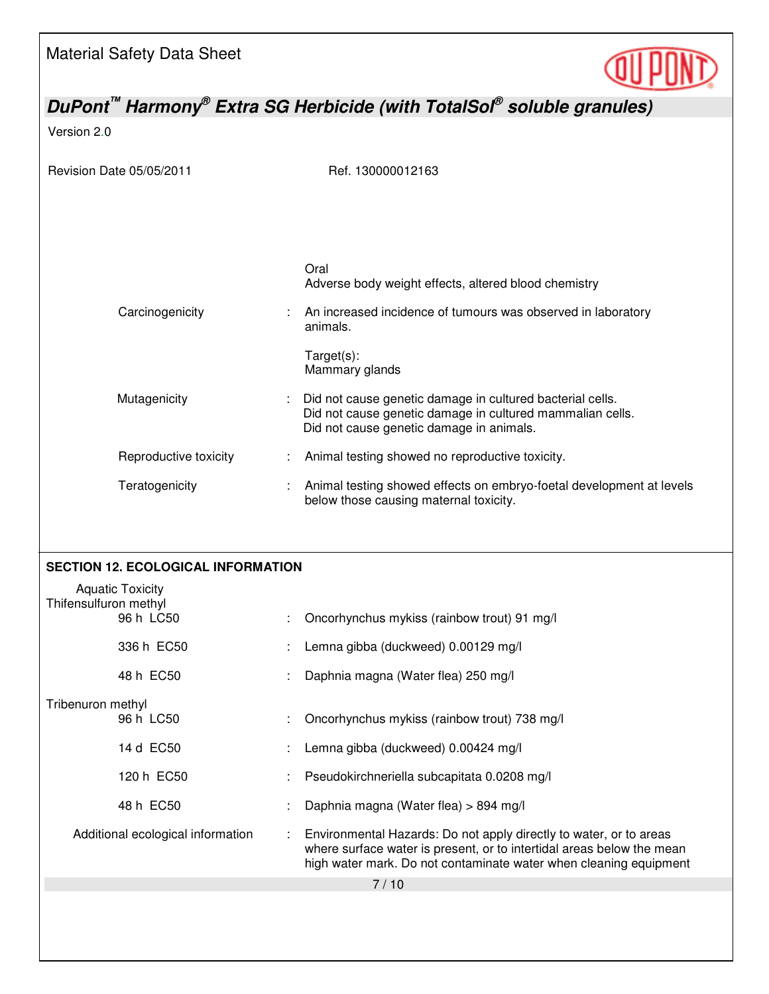

| DuPont <sup>™</sup> Harmony <sup>®</sup> Extra SG Herbicide (with TotalSol <sup>®</sup> soluble granules) |                                           |  |                                                                                                                                                                                                                  |
|-----------------------------------------------------------------------------------------------------------|-------------------------------------------|--|------------------------------------------------------------------------------------------------------------------------------------------------------------------------------------------------------------------|
| Version 2.0                                                                                               |                                           |  |                                                                                                                                                                                                                  |
|                                                                                                           | Revision Date 05/05/2011                  |  | Ref. 130000012163                                                                                                                                                                                                |
|                                                                                                           |                                           |  | Oral<br>Adverse body weight effects, altered blood chemistry                                                                                                                                                     |
|                                                                                                           | Carcinogenicity                           |  | An increased incidence of tumours was observed in laboratory<br>animals.                                                                                                                                         |
|                                                                                                           |                                           |  | Target(s):<br>Mammary glands                                                                                                                                                                                     |
|                                                                                                           | Mutagenicity                              |  | Did not cause genetic damage in cultured bacterial cells.<br>Did not cause genetic damage in cultured mammalian cells.<br>Did not cause genetic damage in animals.                                               |
|                                                                                                           | Reproductive toxicity                     |  | Animal testing showed no reproductive toxicity.                                                                                                                                                                  |
|                                                                                                           | Teratogenicity                            |  | Animal testing showed effects on embryo-foetal development at levels<br>below those causing maternal toxicity.                                                                                                   |
|                                                                                                           | <b>SECTION 12. ECOLOGICAL INFORMATION</b> |  |                                                                                                                                                                                                                  |
| Thifensulfuron methyl                                                                                     | <b>Aquatic Toxicity</b>                   |  |                                                                                                                                                                                                                  |
|                                                                                                           | 96 h LC50                                 |  | Oncorhynchus mykiss (rainbow trout) 91 mg/l                                                                                                                                                                      |
|                                                                                                           | 336 h EC50                                |  | Lemna gibba (duckweed) 0.00129 mg/l                                                                                                                                                                              |
|                                                                                                           | 48 h EC50                                 |  | Daphnia magna (Water flea) 250 mg/l                                                                                                                                                                              |
| Tribenuron methyl                                                                                         |                                           |  |                                                                                                                                                                                                                  |
|                                                                                                           | 96 h LC50                                 |  | Oncorhynchus mykiss (rainbow trout) 738 mg/l                                                                                                                                                                     |
|                                                                                                           | 14 d EC50                                 |  | Lemna gibba (duckweed) 0.00424 mg/l                                                                                                                                                                              |
|                                                                                                           | 120 h EC50                                |  | Pseudokirchneriella subcapitata 0.0208 mg/l                                                                                                                                                                      |
|                                                                                                           | 48 h EC50                                 |  | Daphnia magna (Water flea) > 894 mg/l                                                                                                                                                                            |
|                                                                                                           | Additional ecological information         |  | Environmental Hazards: Do not apply directly to water, or to areas<br>where surface water is present, or to intertidal areas below the mean<br>high water mark. Do not contaminate water when cleaning equipment |
|                                                                                                           |                                           |  | 7/10                                                                                                                                                                                                             |
|                                                                                                           |                                           |  |                                                                                                                                                                                                                  |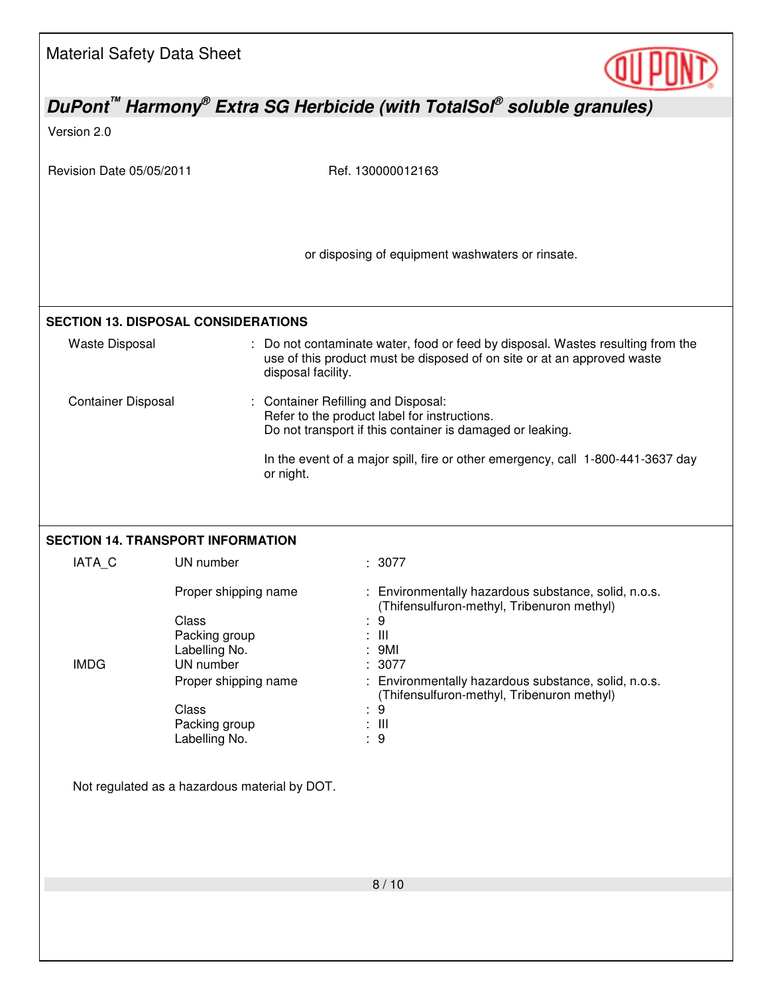| <b>Material Safety Data Sheet</b>                                                                                                                                                  |                                            |                                                                                                                                                            |  |  |
|------------------------------------------------------------------------------------------------------------------------------------------------------------------------------------|--------------------------------------------|------------------------------------------------------------------------------------------------------------------------------------------------------------|--|--|
|                                                                                                                                                                                    |                                            | DuPont <sup>™</sup> Harmony <sup>®</sup> Extra SG Herbicide (with TotalSol <sup>®</sup> soluble granules)                                                  |  |  |
| Version 2.0                                                                                                                                                                        |                                            |                                                                                                                                                            |  |  |
| Revision Date 05/05/2011                                                                                                                                                           |                                            | Ref. 130000012163                                                                                                                                          |  |  |
|                                                                                                                                                                                    |                                            | or disposing of equipment washwaters or rinsate.                                                                                                           |  |  |
|                                                                                                                                                                                    | <b>SECTION 13. DISPOSAL CONSIDERATIONS</b> |                                                                                                                                                            |  |  |
| <b>Waste Disposal</b>                                                                                                                                                              | disposal facility.                         | : Do not contaminate water, food or feed by disposal. Wastes resulting from the<br>use of this product must be disposed of on site or at an approved waste |  |  |
| <b>Container Disposal</b><br><b>Container Refilling and Disposal:</b><br>Refer to the product label for instructions.<br>Do not transport if this container is damaged or leaking. |                                            |                                                                                                                                                            |  |  |
|                                                                                                                                                                                    | or night.                                  | In the event of a major spill, fire or other emergency, call 1-800-441-3637 day                                                                            |  |  |
|                                                                                                                                                                                    | <b>SECTION 14. TRANSPORT INFORMATION</b>   |                                                                                                                                                            |  |  |
| IATA_C                                                                                                                                                                             | UN number                                  | : 3077                                                                                                                                                     |  |  |
|                                                                                                                                                                                    | Proper shipping name<br>Class              | : Environmentally hazardous substance, solid, n.o.s.<br>(Thifensulfuron-methyl, Tribenuron methyl)<br>9<br>$\mathop{\mathsf{III}}\nolimits$                |  |  |
|                                                                                                                                                                                    | Packing group<br>Labelling No.             | 9MI                                                                                                                                                        |  |  |
| <b>IMDG</b>                                                                                                                                                                        | UN number<br>Proper shipping name          | : 3077<br>: Environmentally hazardous substance, solid, n.o.s.                                                                                             |  |  |
|                                                                                                                                                                                    | Class                                      | (Thifensulfuron-methyl, Tribenuron methyl)<br>: 9                                                                                                          |  |  |
|                                                                                                                                                                                    | Packing group<br>Labelling No.             | : III<br>: 9                                                                                                                                               |  |  |
| Not regulated as a hazardous material by DOT.                                                                                                                                      |                                            |                                                                                                                                                            |  |  |
|                                                                                                                                                                                    |                                            | 8/10                                                                                                                                                       |  |  |
|                                                                                                                                                                                    |                                            |                                                                                                                                                            |  |  |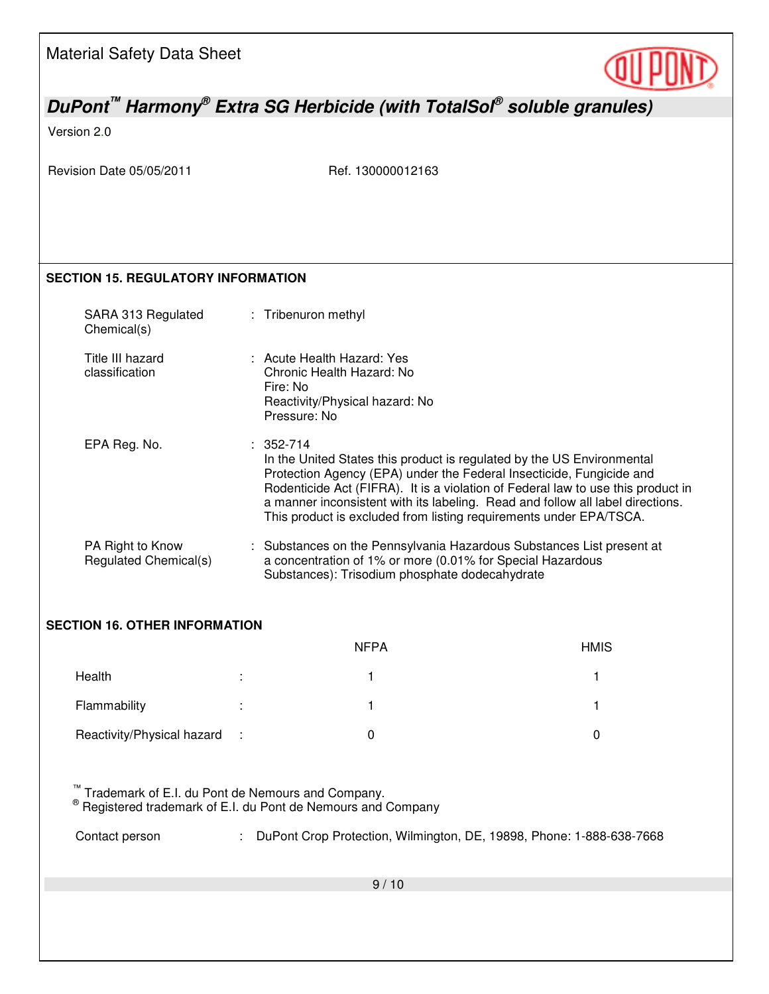

## *DuPont™ Harmony® Extra SG Herbicide (with TotalSol® soluble granules)*

### Version 2.0

Revision Date 05/05/2011 Ref. 130000012163

### **SECTION 15. REGULATORY INFORMATION**

| SARA 313 Regulated<br>Chemical(s)         | : Tribenuron methyl                                                                                                                                                                                                                                                                                                                                                                                         |
|-------------------------------------------|-------------------------------------------------------------------------------------------------------------------------------------------------------------------------------------------------------------------------------------------------------------------------------------------------------------------------------------------------------------------------------------------------------------|
| Title III hazard<br>classification        | : Acute Health Hazard: Yes<br>Chronic Health Hazard: No<br>Fire: No<br>Reactivity/Physical hazard: No<br>Pressure: No                                                                                                                                                                                                                                                                                       |
| EPA Reg. No.                              | $: 352 - 714$<br>In the United States this product is regulated by the US Environmental<br>Protection Agency (EPA) under the Federal Insecticide, Fungicide and<br>Rodenticide Act (FIFRA). It is a violation of Federal law to use this product in<br>a manner inconsistent with its labeling. Read and follow all label directions.<br>This product is excluded from listing requirements under EPA/TSCA. |
| PA Right to Know<br>Regulated Chemical(s) | : Substances on the Pennsylvania Hazardous Substances List present at<br>a concentration of 1% or more (0.01% for Special Hazardous<br>Substances): Trisodium phosphate dodecahydrate                                                                                                                                                                                                                       |

## **SECTION 16. OTHER INFORMATION**

|                              | <b>NFPA</b> | <b>HMIS</b> |
|------------------------------|-------------|-------------|
| Health                       |             |             |
| Flammability                 |             |             |
| Reactivity/Physical hazard : |             |             |

™ Trademark of E.I. du Pont de Nemours and Company.<br>® Registered trademark of E.I. du Pont de Nemours and Company

Contact person : DuPont Crop Protection, Wilmington, DE, 19898, Phone: 1-888-638-7668

9 / 10